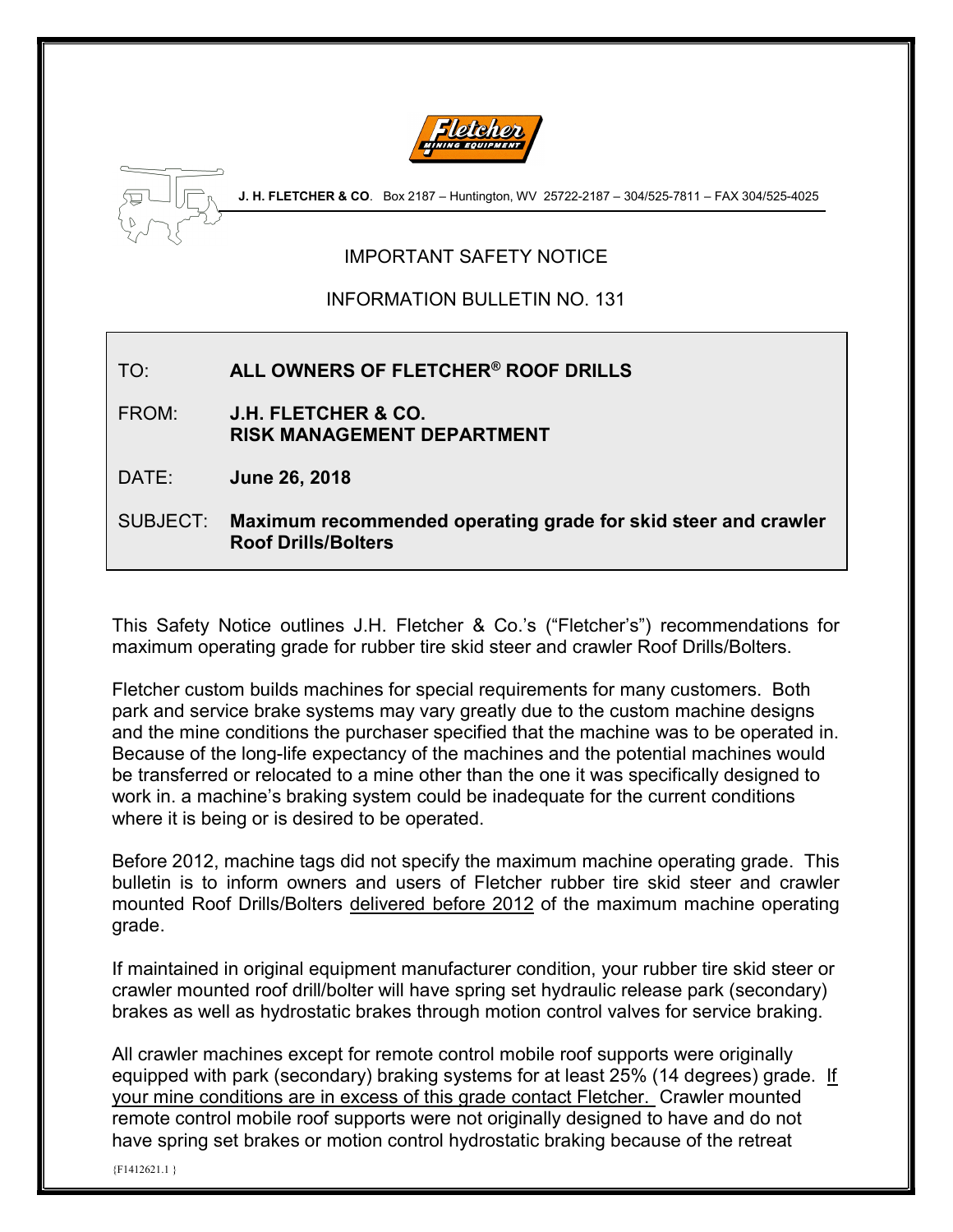



J. H. FLETCHER & CO. Box 2187 - Huntington, WV 25722-2187 - 304/525-7811 - FAX 304/525-4025

## IMPORTANT SAFETY NOTICE

## INFORMATION BULLETIN NO. 131

## TO: ALL OWNERS OF FLETCHER® ROOF DRILLS

FROM: J.H. FLETCHER & CO. RISK MANAGEMENT DEPARTMENT

DATE: June 26, 2018

SUBJECT: Maximum recommended operating grade for skid steer and crawler Roof Drills/Bolters

This Safety Notice outlines J.H. Fletcher & Co.'s ("Fletcher's") recommendations for maximum operating grade for rubber tire skid steer and crawler Roof Drills/Bolters.

Fletcher custom builds machines for special requirements for many customers. Both park and service brake systems may vary greatly due to the custom machine designs and the mine conditions the purchaser specified that the machine was to be operated in. Because of the long-life expectancy of the machines and the potential machines would be transferred or relocated to a mine other than the one it was specifically designed to work in. a machine's braking system could be inadequate for the current conditions where it is being or is desired to be operated.

Before 2012, machine tags did not specify the maximum machine operating grade. This bulletin is to inform owners and users of Fletcher rubber tire skid steer and crawler mounted Roof Drills/Bolters delivered before 2012 of the maximum machine operating grade.

If maintained in original equipment manufacturer condition, your rubber tire skid steer or crawler mounted roof drill/bolter will have spring set hydraulic release park (secondary) brakes as well as hydrostatic brakes through motion control valves for service braking.

All crawler machines except for remote control mobile roof supports were originally equipped with park (secondary) braking systems for at least 25% (14 degrees) grade. If your mine conditions are in excess of this grade contact Fletcher. Crawler mounted remote control mobile roof supports were not originally designed to have and do not have spring set brakes or motion control hydrostatic braking because of the retreat

{F1412621.1 }